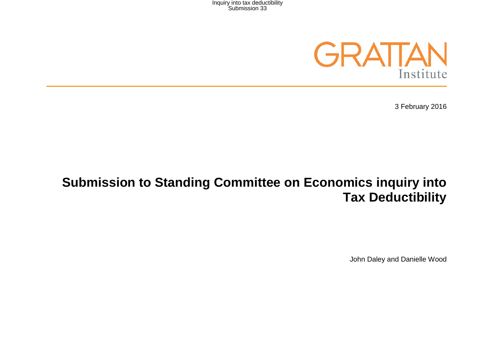

3 February 2016

# **Submission to Standing Committee on Economics inquiry into Tax Deductibility**

John Daley and Danielle Wood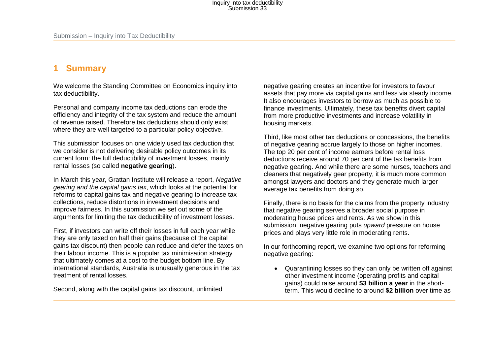### **1 Summary**

We welcome the Standing Committee on Economics inquiry into tax deductibility.

Personal and company income tax deductions can erode the efficiency and integrity of the tax system and reduce the amount of revenue raised. Therefore tax deductions should only exist where they are well targeted to a particular policy objective.

This submission focuses on one widely used tax deduction that we consider is not delivering desirable policy outcomes in its current form: the full deductibility of investment losses, mainly rental losses (so called **negative gearing**).

In March this year, Grattan Institute will release a report, *Negative gearing and the capital gains tax*, which looks at the potential for reforms to capital gains tax and negative gearing to increase tax collections, reduce distortions in investment decisions and improve fairness. In this submission we set out some of the arguments for limiting the tax deductibility of investment losses.

First, if investors can write off their losses in full each year while they are only taxed on half their gains (because of the capital gains tax discount) then people can reduce and defer the taxes on their labour income. This is a popular tax minimisation strategy that ultimately comes at a cost to the budget bottom line. By international standards, Australia is unusually generous in the tax treatment of rental losses.

Second, along with the capital gains tax discount, unlimited

negative gearing creates an incentive for investors to favour assets that pay more via capital gains and less via steady income. It also encourages investors to borrow as much as possible to finance investments. Ultimately, these tax benefits divert capital from more productive investments and increase volatility in housing markets.

Third, like most other tax deductions or concessions, the benefits of negative gearing accrue largely to those on higher incomes. The top 20 per cent of income earners before rental loss deductions receive around 70 per cent of the tax benefits from negative gearing. And while there are some nurses, teachers and cleaners that negatively gear property, it is much more common amongst lawyers and doctors and they generate much larger average tax benefits from doing so.

Finally, there is no basis for the claims from the property industry that negative gearing serves a broader social purpose in moderating house prices and rents. As we show in this submission, negative gearing puts *upward* pressure on house prices and plays very little role in moderating rents.

In our forthcoming report, we examine two options for reforming negative gearing:

• Quarantining losses so they can only be written off against other investment income (operating profits and capital gains) could raise around **\$3 billion a year** in the shortterm. This would decline to around **\$2 billion** over time as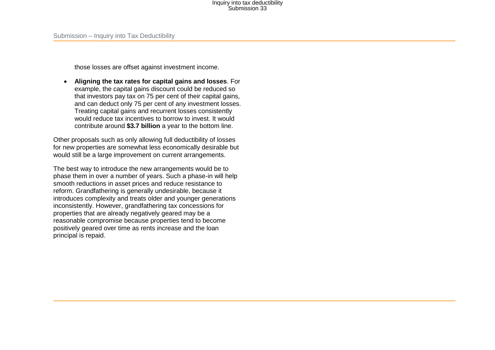those losses are offset against investment income.

• **Aligning the tax rates for capital gains and losses**. For example, the capital gains discount could be reduced so that investors pay tax on 75 per cent of their capital gains, and can deduct only 75 per cent of any investment losses. Treating capital gains and recurrent losses consistently would reduce tax incentives to borrow to invest. It would contribute around **\$3.7 billion** a year to the bottom line.

Other proposals such as only allowing full deductibility of losses for new properties are somewhat less economically desirable but would still be a large improvement on current arrangements.

The best way to introduce the new arrangements would be to phase them in over a number of years. Such a phase-in will help smooth reductions in asset prices and reduce resistance to reform. Grandfathering is generally undesirable, because it introduces complexity and treats older and younger generations inconsistently. However, grandfathering tax concessions for properties that are already negatively geared may be a reasonable compromise because properties tend to become positively geared over time as rents increase and the loan principal is repaid.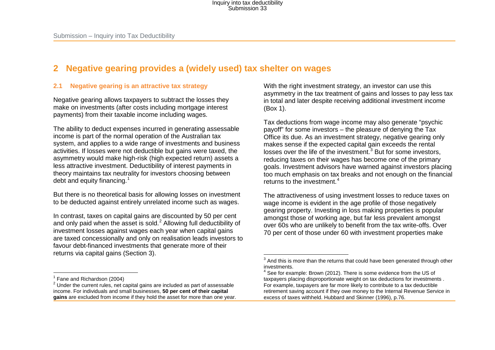### **2 Negative gearing provides a (widely used) tax shelter on wages**

#### **2.1 Negative gearing is an attractive tax strategy**

Negative gearing allows taxpayers to subtract the losses they make on investments (after costs including mortgage interest payments) from their taxable income including wages.

The ability to deduct expenses incurred in generating assessable income is part of the normal operation of the Australian tax system, and applies to a wide range of investments and business activities. If losses were not deductible but gains were taxed, the asymmetry would make high-risk (high expected return) assets a less attractive investment. Deductibility of interest payments in theory maintains tax neutrality for investors choosing between debt and equity financing.<sup>[1](#page-3-0)</sup>

But there is no theoretical basis for allowing losses on investment to be deducted against entirely unrelated income such as wages.

In contrast, taxes on capital gains are discounted by 50 per cent and only paid when the asset is sold.<sup>[2](#page-3-1)</sup> Allowing full deductibility of investment losses against wages each year when capital gains are taxed concessionally and only on realisation leads investors to favour debt-financed investments that generate more of their returns via capital gains (Section 3).

<span id="page-3-3"></span><span id="page-3-2"></span><span id="page-3-1"></span><span id="page-3-0"></span>With the right investment strategy, an investor can use this asymmetry in the tax treatment of gains and losses to pay less tax in total and later despite receiving additional investment income (Box 1).

Tax deductions from wage income may also generate "psychic payoff" for some investors – the pleasure of denying the Tax Office its due. As an investment strategy, negative gearing only makes sense if the expected capital gain exceeds the rental losses over the life of the investment.<sup>[3](#page-3-2)</sup> But for some investors, reducing taxes on their wages has become one of the primary goals. Investment advisors have warned against investors placing too much emphasis on tax breaks and not enough on the financial returns to the investment.<sup>[4](#page-3-3)</sup>

The attractiveness of using investment losses to reduce taxes on wage income is evident in the age profile of those negatively gearing property. Investing in loss making properties is popular amongst those of working age, but far less prevalent amongst over 60s who are unlikely to benefit from the tax write-offs. Over 70 per cent of those under 60 with investment properties make

 $3$  And this is more than the returns that could have been generated through other investments.  $\overline{a}$ 

 $4$  See for example: Brown (2012). There is some evidence from the US of taxpayers placing disproportionate weight on tax deductions for investments . For example, taxpayers are far more likely to contribute to a tax deductible retirement saving account if they owe money to the Internal Revenue Service in excess of taxes withheld. Hubbard and Skinner (1996), p.76.

 $\overline{a}$ 

 $1$  Fane and Richardson (2004)<br> $2$  Under the current rules, net capital gains are included as part of assessable income. For individuals and small businesses, **50 per cent of their capital gains** are excluded from income if they hold the asset for more than one year.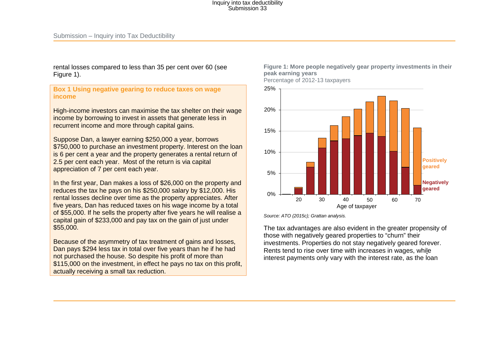rental losses compared to less than 35 per cent over 60 (see [Figure 1\)](#page-4-0).

**Box 1 Using negative gearing to reduce taxes on wage income** 

High-income investors can maximise the tax shelter on their wage income by borrowing to invest in assets that generate less in recurrent income and more through capital gains.

Suppose Dan, a lawyer earning \$250,000 a year, borrows \$750,000 to purchase an investment property. Interest on the loan is 6 per cent a year and the property generates a rental return of 2.5 per cent each year. Most of the return is via capital appreciation of 7 per cent each year.

In the first year, Dan makes a loss of \$26,000 on the property and reduces the tax he pays on his \$250,000 salary by \$12,000. His rental losses decline over time as the property appreciates. After five years, Dan has reduced taxes on his wage income by a total of \$55,000. If he sells the property after five years he will realise a capital gain of \$233,000 and pay tax on the gain of just under \$55,000.

<span id="page-4-0"></span>Because of the asymmetry of tax treatment of gains and losses, Dan pays \$294 less tax in total over five years than he if he had not purchased the house. So despite his profit of more than \$115,000 on the investment, in effect he pays no tax on this profit, actually receiving a small tax reduction.

#### **Figure 1: More people negatively gear property investments in their peak earning years**

Percentage of 2012-13 taxpayers



*Source[: ATO \(2015c\)](#page-20-0); Grattan analysis.*

The tax advantages are also evident in the greater propensity of those with negatively geared properties to "churn" their investments. Properties do not stay negatively geared forever. Rents tend to rise over time with increases in wages, while interest payments only vary with the interest rate, as the loan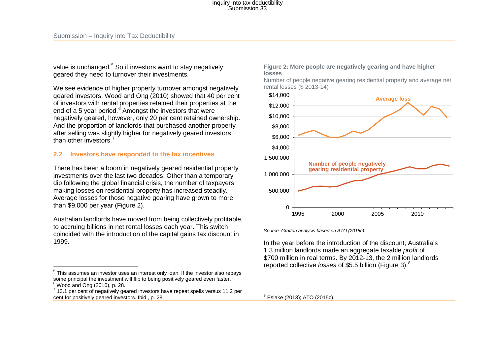value is unchanged.<sup>[5](#page-5-1)</sup> So if investors want to stay negatively geared they need to turnover their investments.

We see evidence of higher property turnover amongst negatively geared investors. [Wood and Ong \(2010\)](#page-22-0) showed that 40 per cent of investors with rental properties retained their properties at the end of a 5 year period. $6 \text{ A}$  $6 \text{ A}$  Amongst the investors that were negatively geared, however, only 20 per cent retained ownership. And the proportion of landlords that purchased another property after selling was slightly higher for negatively geared investors than other investors.<sup>[7](#page-5-3)</sup>

#### **2.2 Investors have responded to the tax incentives**

There has been a boom in negatively geared residential property investments over the last two decades. Other than a temporary dip following the global financial crisis, the number of taxpayers making losses on residential property has increased steadily. Average losses for those negative gearing have grown to more than \$9,000 per year [\(Figure 2\)](#page-5-0).

Australian landlords have moved from being collectively profitable, to accruing billions in net rental losses each year. This switch coincided with the introduction of the capital gains tax discount in 1999.

#### <span id="page-5-4"></span><span id="page-5-3"></span><span id="page-5-2"></span><span id="page-5-1"></span><span id="page-5-0"></span>**Figure 2: More people are negatively gearing and have higher losses**

Number of people negative gearing residential property and average net rental losses (\$ 2013-14)



*Source: Grattan analysis based o[n ATO \(2015c\)](#page-20-0)*

In the year before the introduction of the discount, Australia's 1.3 million landlords made an aggregate taxable *profit* of \$700 million in real terms. By 2012-13, the 2 million landlords reported collective *losses* of \$5.5 billion [\(Figure 3\)](#page-6-0). [8](#page-5-4)

 $5$  This assumes an investor uses an interest only loan. If the investor also repays some principal the investment will flip to being positively geared even faster.<br>
<sup>6</sup> Wood and Ong (2010), p. 28.<br>
<sup>7</sup> 13.1 per cent of negatively geared investors have repeat spells versus 11.2 per  $\overline{a}$ 

cent for positively geared investors. Ibid., p. 28.

<sup>&</sup>lt;sup>8</sup> Eslake (2013); ATO (2015c)  $\overline{a}$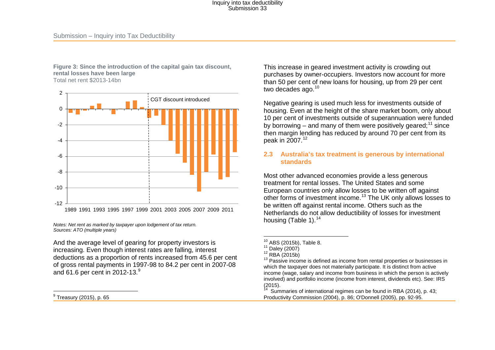<span id="page-6-0"></span>**Figure 3: Since the introduction of the capital gain tax discount, rental losses have been large** 

Total net rent \$2013-14bn



*Notes: Net rent as marked by taxpayer upon lodgement of tax return. Sources[: ATO \(multiple years\)](#page-20-1)*

And the average level of gearing for property investors is increasing. Even though interest rates are falling, interest deductions as a proportion of rents increased from 45.6 per cent of gross rental payments in 1997-98 to 84.2 per cent in 2007-08 and 61.6 per cent in 2012-13.<sup>[9](#page-6-1)</sup>

 $^9$  Treasury (2015), p. 65  $\overline{a}$ 

<span id="page-6-6"></span><span id="page-6-5"></span><span id="page-6-4"></span><span id="page-6-3"></span><span id="page-6-2"></span><span id="page-6-1"></span>This increase in geared investment activity is crowding out purchases by owner-occupiers. Investors now account for more than 50 per cent of new loans for housing, up from 29 per cent two decades ago.<sup>[10](#page-6-2)</sup>

Negative gearing is used much less for investments outside of housing. Even at the height of the share market boom, only about 10 per cent of investments outside of superannuation were funded by borrowing – and many of them were positively geared;<sup>[11](#page-6-3)</sup> since then margin lending has reduced by around 70 per cent from its peak in 2007.[12](#page-6-4)

#### **2.3 Australia's tax treatment is generous by international standards**

Most other advanced economies provide a less generous treatment for rental losses. The United States and some European countries only allow losses to be written off against other forms of investment income.<sup>[13](#page-6-5)</sup> The UK only allows losses to be written off against rental income. Others such as the Netherlands do not allow deductibility of losses for investment housing (Table 1).<sup>[14](#page-6-6)</sup>

Summaries of international regimes can be found in RBA (2014), p. 43; Productivity Commission (2004), p. 86; O'Donnell (2005), pp. 92-95.

 $\overline{\phantom{a}}$ 

<sup>&</sup>lt;sup>10</sup> ABS (2015b), Table 8.<br><sup>11</sup> Daley (2007)<br><sup>12</sup> RBA (2015b)<br><sup>13</sup> Passive income is defined as income from rental properties or businesses in which the taxpayer does not materially participate. It is distinct from active income (wage, salary and income from business in which the person is actively involved) and portfolio income (income from interest, dividends etc). See: IRS<br>(2015).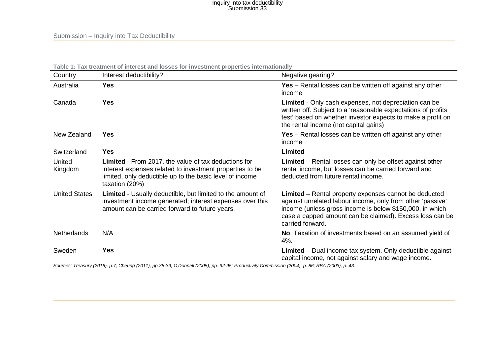| Country              | Interest deductibility?                                                                                                                                                                               | Negative gearing?                                                                                                                                                                                                                                               |
|----------------------|-------------------------------------------------------------------------------------------------------------------------------------------------------------------------------------------------------|-----------------------------------------------------------------------------------------------------------------------------------------------------------------------------------------------------------------------------------------------------------------|
| Australia            | <b>Yes</b>                                                                                                                                                                                            | <b>Yes</b> – Rental losses can be written off against any other<br>income                                                                                                                                                                                       |
| Canada               | <b>Yes</b>                                                                                                                                                                                            | Limited - Only cash expenses, not depreciation can be<br>written off. Subject to a 'reasonable expectations of profits<br>test' based on whether investor expects to make a profit on<br>the rental income (not capital gains)                                  |
| New Zealand          | <b>Yes</b>                                                                                                                                                                                            | <b>Yes</b> – Rental losses can be written off against any other<br>income                                                                                                                                                                                       |
| Switzerland          | <b>Yes</b>                                                                                                                                                                                            | Limited                                                                                                                                                                                                                                                         |
| United<br>Kingdom    | <b>Limited</b> - From 2017, the value of tax deductions for<br>interest expenses related to investment properties to be<br>limited, only deductible up to the basic level of income<br>taxation (20%) | <b>Limited</b> – Rental losses can only be offset against other<br>rental income, but losses can be carried forward and<br>deducted from future rental income.                                                                                                  |
| <b>United States</b> | <b>Limited</b> - Usually deductible, but limited to the amount of<br>investment income generated; interest expenses over this<br>amount can be carried forward to future years.                       | Limited - Rental property expenses cannot be deducted<br>against unrelated labour income, only from other 'passive'<br>income (unless gross income is below \$150,000, in which<br>case a capped amount can be claimed). Excess loss can be<br>carried forward. |
| Netherlands          | N/A                                                                                                                                                                                                   | No. Taxation of investments based on an assumed yield of<br>$4%$ .                                                                                                                                                                                              |
| Sweden               | Yes                                                                                                                                                                                                   | <b>Limited</b> – Dual income tax system. Only deductible against<br>capital income, not against salary and wage income.                                                                                                                                         |

Sources: [Treasury \(2016\)](#page-22-1), p.7[; Cheung \(2011\)](#page-20-2), pp.38-39[; O'Donnell \(2005\)](#page-21-0), pp. 92-95[; Productivity Commission \(2004\)](#page-21-1), p. 86; [RBA \(2003\)](#page-21-2), p. 43.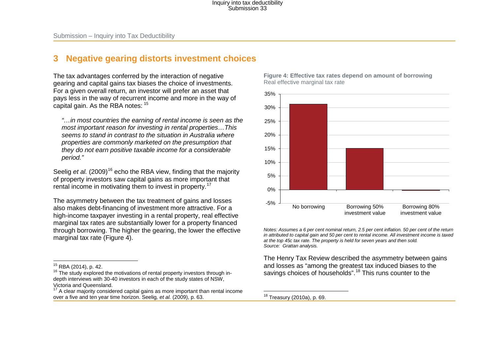### **3 Negative gearing distorts investment choices**

The tax advantages conferred by the interaction of negative gearing and capital gains tax biases the choice of investments. For a given overall return, an investor will prefer an asset that pays less in the way of recurrent income and more in the way of capital gain. As the RBA notes: [15](#page-8-1)

*"…in most countries the earning of rental income is seen as the most important reason for investing in rental properties…This seems to stand in contrast to the situation in Australia where properties are commonly marketed on the presumption that they do not earn positive taxable income for a considerable period."*

Seelig *et al.* [\(2009\)](#page-22-2)<sup>[16](#page-8-2)</sup> echo the RBA view, finding that the majority of property investors saw capital gains as more important that rental income in motivating them to invest in property.<sup>[17](#page-8-3)</sup>

The asymmetry between the tax treatment of gains and losses also makes debt-financing of investment more attractive. For a high-income taxpayer investing in a rental property, real effective marginal tax rates are substantially lower for a property financed through borrowing. The higher the gearing, the lower the effective marginal tax rate [\(Figure 4\)](#page-8-0).

<span id="page-8-4"></span><span id="page-8-3"></span><span id="page-8-2"></span><span id="page-8-1"></span><span id="page-8-0"></span>**Figure 4: Effective tax rates depend on amount of borrowing**  Real effective marginal tax rate



*Notes: Assumes a 6 per cent nominal return, 2.5 per cent inflation. 50 per cent of the return in attributed to capital gain and 50 per cent to rental income. All investment income is taxed at the top 45c tax rate. The property is held for seven years and then sold. Source: Grattan analysis.*

The Henry Tax Review described the asymmetry between gains and losses as "among the greatest tax induced biases to the savings choices of households".<sup>[18](#page-8-4)</sup> This runs counter to the

<sup>&</sup>lt;sup>15</sup> RBA (2014), p. 42.

 $16$  The study explored the motivations of rental property investors through indepth interviews with 30-40 investors in each of the study states of NSW, Victoria and Queensland.

 $17$  A clear majority considered capital gains as more important than rental income over a five and ten year time horizon. Seelig*, et al.* (2009), p. 63.

<sup>&</sup>lt;sup>18</sup> Treasury (2010a), p. 69.  $\overline{\phantom{a}}$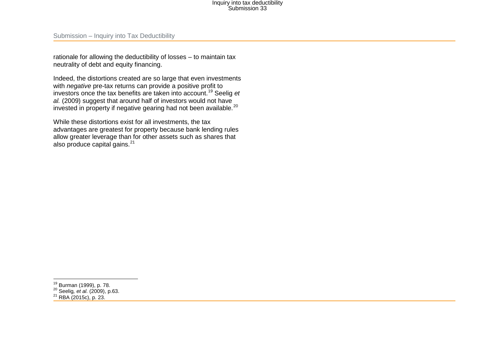<span id="page-9-2"></span><span id="page-9-1"></span><span id="page-9-0"></span>rationale for allowing the deductibility of losses – to maintain tax neutrality of debt and equity financing.

Indeed, the distortions created are so large that even investments with *negative* pre-tax returns can provide a positive profit to investors once the tax benefits are taken into account.[19](#page-9-0) [Seelig](#page-22-2) *et al.* [\(2009\)](#page-22-2) suggest that around half of investors would not have invested in property if negative gearing had not been available.<sup>20</sup>

While these distortions exist for all investments, the tax advantages are greatest for property because bank lending rules allow greater leverage than for other assets such as shares that also produce capital gains.<sup>[21](#page-9-2)</sup>

 $\overline{a}$ 

<sup>&</sup>lt;sup>19</sup> Burman (1999), p. 78.<br><sup>20</sup> Seelig*, et al.* (2009), p.63.<br><sup>21</sup> RBA (2015c), p. 23.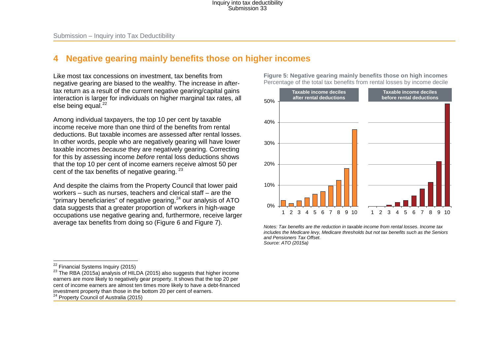### **4 Negative gearing mainly benefits those on higher incomes**

Like most tax concessions on investment, tax benefits from negative gearing are biased to the wealthy. The increase in aftertax return as a result of the current negative gearing/capital gains interaction is larger for individuals on higher marginal tax rates, all else being equal.<sup>[22](#page-10-0)</sup>

Among individual taxpayers, the top 10 per cent by taxable income receive more than one third of the benefits from rental deductions. But taxable incomes are assessed after rental losses. In other words, people who are negatively gearing will have lower taxable incomes *because* they are negatively gearing. Correcting for this by assessing income *before* rental loss deductions shows that the top 10 per cent of income earners receive almost 50 per cent of the tax benefits of negative gearing. <sup>[23](#page-10-1)</sup>

And despite the claims from the Property Council that lower paid workers – such as nurses, teachers and clerical staff – are the "primary beneficiaries" of negative gearing, $24$  our analysis of ATO data suggests that a greater proportion of workers in high-wage occupations use negative gearing and, furthermore, receive larger average tax benefits from doing so [\(Figure 6](#page-11-0) and [Figure 7\)](#page-11-1).

<sup>22</sup> Financial Systems Inquiry (2015)

<sup>23</sup> The RBA (2015a) analysis of HILDA (2015) also suggests that higher income earners are more likely to negatively gear property. It shows that the top 20 per cent of income earners are almost ten times more likely to have a debt-financed investment property than those in the bottom 20 per cent of earners. <sup>24</sup> Property Council of Australia (2015)

<span id="page-10-2"></span><span id="page-10-1"></span><span id="page-10-0"></span>**Figure 5: Negative gearing mainly benefits those on high incomes**  Percentage of the total tax benefits from rental losses by income decile



*Notes: Tax benefits are the reduction in taxable income from rental losses. Income tax includes the Medicare levy, Medicare thresholds but not tax benefits such as the Seniors and Pensioners Tax Offset. Source[: ATO \(2015a\)](#page-20-3)*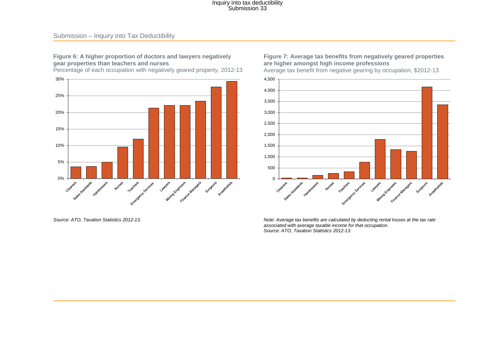#### <span id="page-11-0"></span>**Figure 6: A higher proportion of doctors and lawyers negatively gear properties than teachers and nurses**

Percentage of each occupation with negatively geared property, 2012-13



*Source: ATO, Taxation Statistics 2012-13.* 

#### <span id="page-11-1"></span>**Figure 7: Average tax benefits from negatively geared properties are higher amongst high income professions**

Average tax benefit from negative gearing by occupation, \$2012-13



*Note: Average tax benefits are calculated by deducting rental losses at the tax rate associated with average taxable income for that occupation. Source: ATO, Taxation Statistics 2012-13.*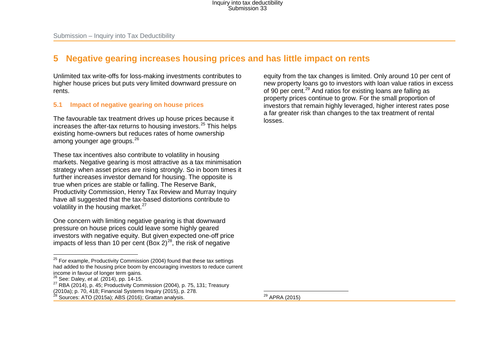### **5 Negative gearing increases housing prices and has little impact on rents**

Unlimited tax write-offs for loss-making investments contributes to higher house prices but puts very limited downward pressure on rents.

#### **5.1 Impact of negative gearing on house prices**

The favourable tax treatment drives up house prices because it increases the after-tax returns to housing investors. [25](#page-12-0) This helps existing home-owners but reduces rates of home ownership among younger age groups.<sup>[26](#page-12-1)</sup>

These tax incentives also contribute to volatility in housing markets. Negative gearing is most attractive as a tax minimisation strategy when asset prices are rising strongly. So in boom times it further increases investor demand for housing. The opposite is true when prices are stable or falling. The Reserve Bank, Productivity Commission, Henry Tax Review and Murray Inquiry have all suggested that the tax-based distortions contribute to volatility in the housing market. $27$ 

One concern with limiting negative gearing is that downward pressure on house prices could leave some highly geared investors with negative equity. But given expected one-off price impacts of less than 10 per cent (Box 2) $^{28}$ , the risk of negative

<span id="page-12-3"></span><span id="page-12-2"></span><span id="page-12-1"></span><span id="page-12-0"></span>equity from the tax changes is limited. Only around 10 per cent of new property loans go to investors with loan value ratios in excess of 90 per cent.[29](#page-12-3) And ratios for existing loans are falling as property prices continue to grow. For the small proportion of investors that remain highly leveraged, higher interest rates pose a far greater risk than changes to the tax treatment of rental losses.

<sup>29</sup> APRA (2015)  $\overline{a}$ 

<sup>&</sup>lt;sup>25</sup> For example, Productivity Commission (2004) found that these tax settings had added to the housing price boom by encouraging investors to reduce current income in favour of longer term gains.<br><sup>26</sup> See: Daley, et al. (2014), pp. 14-15.  $\overline{a}$ 

<sup>27</sup> RBA (2014), p. 45; Productivity Commission (2004), p. 75, 131; Treasury (2010a); p. 70, 418; Financial Systems Inquiry (2015), p. 278.

Sources: ATO (2015a); ABS (2016); Grattan analysis.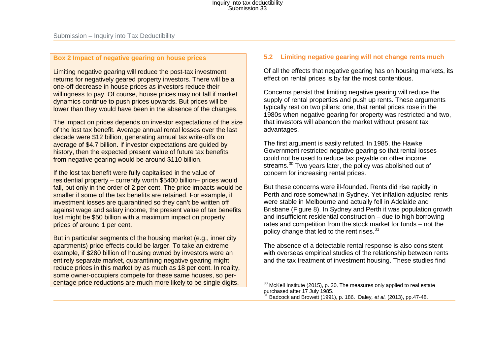#### **Box 2 Impact of negative gearing on house prices**

Limiting negative gearing will reduce the post-tax investment returns for negatively geared property investors. There will be a one-off decrease in house prices as investors reduce their willingness to pay. Of course, house prices may not fall if market dynamics continue to push prices upwards. But prices will be lower than they would have been in the absence of the changes.

The impact on prices depends on investor expectations of the size of the lost tax benefit. Average annual rental losses over the last decade were \$12 billion, generating annual tax write-offs on average of \$4.7 billion. If investor expectations are guided by history, then the expected present value of future tax benefits from negative gearing would be around \$110 billion.

If the lost tax benefit were fully capitalised in the value of residential property – currently worth \$5400 billion– prices would fall, but only in the order of 2 per cent. The price impacts would be smaller if some of the tax benefits are retained. For example, if investment losses are quarantined so they can't be written off against wage and salary income, the present value of tax benefits lost might be \$50 billion with a maximum impact on property prices of around 1 per cent.

But in particular segments of the housing market (e.g., inner city apartments) price effects could be larger. To take an extreme example, if \$280 billion of housing owned by investors were an entirely separate market, quarantining negative gearing might reduce prices in this market by as much as 18 per cent. In reality, some owner-occupiers compete for these same houses, so percentage price reductions are much more likely to be single digits.

#### <span id="page-13-1"></span><span id="page-13-0"></span>**5.2 Limiting negative gearing will not change rents much**

Of all the effects that negative gearing has on housing markets, its effect on rental prices is by far the most contentious.

Concerns persist that limiting negative gearing will reduce the supply of rental properties and push up rents. These arguments typically rest on two pillars: one, that rental prices rose in the 1980s when negative gearing for property was restricted and two, that investors will abandon the market without present tax advantages.

The first argument is easily refuted. In 1985, the Hawke Government restricted negative gearing so that rental losses could not be used to reduce tax payable on other income streams.<sup>[30](#page-13-0)</sup> Two years later, the policy was abolished out of concern for increasing rental prices.

But these concerns were ill-founded. Rents did rise rapidly in Perth and rose somewhat in Sydney. Yet inflation-adjusted rents were stable in Melbourne and actually fell in Adelaide and Brisbane [\(Figure 8\)](#page-14-0). In Sydney and Perth it was population growth and insufficient residential construction – due to high borrowing rates and competition from the stock market for funds – not the policy change that led to the rent rises.<sup>[31](#page-13-1)</sup>

The absence of a detectable rental response is also consistent with overseas empirical studies of the relationship between rents and the tax treatment of investment housing. These studies find

 $30$  McKell Institute (2015), p. 20. The measures only applied to real estate purchased after 17 July 1985.  $\overline{a}$ 

<sup>31</sup> Badcock and Browett (1991), p. 186. Daley*, et al.* (2013), pp.47-48.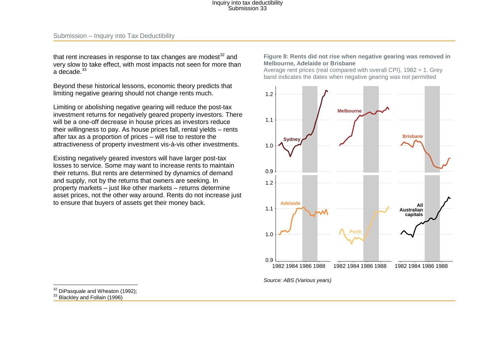that rent increases in response to tax changes are modest $32$  and very slow to take effect, with most impacts not seen for more than a decade  $33$ 

Beyond these historical lessons, economic theory predicts that limiting negative gearing should not change rents much.

Limiting or abolishing negative gearing will reduce the post-tax investment returns for negatively geared property investors. There will be a one-off decrease in house prices as investors reduce their willingness to pay. As house prices fall, rental yields – rents after tax as a proportion of prices – will rise to restore the attractiveness of property investment vis-à-vis other investments.

Existing negatively geared investors will have larger post-tax losses to service. Some may want to increase rents to maintain their returns. But rents are determined by dynamics of demand and supply, not by the returns that owners are seeking. In property markets – just like other markets – returns determine asset prices, not the other way around. Rents do not increase just to ensure that buyers of assets get their money back.

#### <span id="page-14-2"></span><span id="page-14-1"></span><span id="page-14-0"></span>**Figure 8: Rents did not rise when negative gearing was removed in Melbourne, Adelaide or Brisbane**

Average rent prices (real compared with overall CPI), 1982 = 1. Grey band indicates the dates when negative gearing was not permitted



*Source: [ABS \(Various years\)](#page-20-4)*

<sup>&</sup>lt;sup>32</sup> DiPasquale and Wheaton (1992);

<sup>33</sup> Blackley and Follain (1996)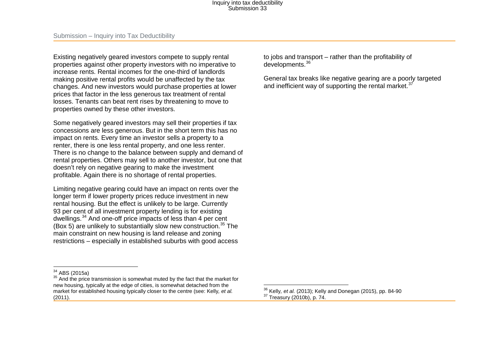Existing negatively geared investors compete to supply rental properties against other property investors with no imperative to increase rents. Rental incomes for the one-third of landlords making positive rental profits would be unaffected by the tax changes. And new investors would purchase properties at lower prices that factor in the less generous tax treatment of rental losses. Tenants can beat rent rises by threatening to move to properties owned by these other investors.

Some negatively geared investors may sell their properties if tax concessions are less generous. But in the short term this has no impact on rents. Every time an investor sells a property to a renter, there is one less rental property, and one less renter. There is no change to the balance between supply and demand of rental properties. Others may sell to another investor, but one that doesn't rely on negative gearing to make the investment profitable. Again there is no shortage of rental properties.

Limiting negative gearing could have an impact on rents over the longer term if lower property prices reduce investment in new rental housing. But the effect is unlikely to be large. Currently 93 per cent of all investment property lending is for existing dwellings.[34](#page-15-0) And one-off price impacts of less than 4 per cent (Box 5) are unlikely to substantially slow new construction.<sup>[35](#page-15-1)</sup> The main constraint on new housing is land release and zoning restrictions – especially in established suburbs with good access <span id="page-15-3"></span><span id="page-15-2"></span><span id="page-15-1"></span><span id="page-15-0"></span>to jobs and transport – rather than the profitability of developments.[36](#page-15-2)

General tax breaks like negative gearing are a poorly targeted and inefficient way of supporting the rental market.<sup>[37](#page-15-3)</sup>

 $34$  ABS (2015a)

 $35$  And the price transmission is somewhat muted by the fact that the market for new housing, typically at the edge of cities, is somewhat detached from the market for established housing typically closer to the centre (see: Kelly*, et al.* (2011).

<sup>&</sup>lt;sup>36</sup> Kelly*, et al.* (2013); Kelly and Donegan (2015), pp. 84-90<br><sup>37</sup> Treasury (2010b), p. 74.  $\overline{a}$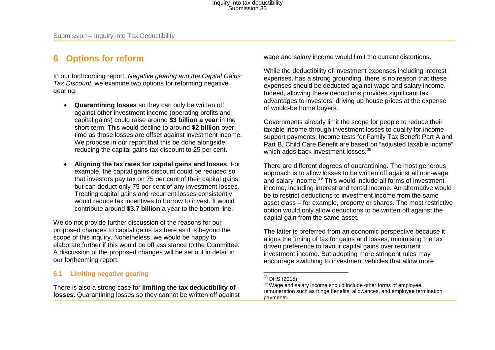### **6 Options for reform**

In our forthcoming report, *Negative gearing and the Capital Gains Tax Discount*, we examine two options for reforming negative gearing:

- **Quarantining losses** so they can only be written off against other investment income (operating profits and capital gains) could raise around **\$3 billion a year** in the short-term. This would decline to around **\$2 billion** over time as those losses are offset against investment income. We propose in our report that this be done alongside reducing the capital gains tax discount to 25 per cent.
- **Aligning the tax rates for capital gains and losses**. For example, the capital gains discount could be reduced so that investors pay tax on 75 per cent of their capital gains, but can deduct only 75 per cent of any investment losses. Treating capital gains and recurrent losses consistently would reduce tax incentives to borrow to invest. It would contribute around **\$3.7 billion** a year to the bottom line.

We do not provide further discussion of the reasons for our proposed changes to capital gains tax here as it is beyond the scope of this inquiry. Nonetheless, we would be happy to elaborate further if this would be off assistance to the Committee. A discussion of the proposed changes will be set out in detail in our forthcoming report.

#### **6.1 Limiting negative gearing**

There is also a strong case for **limiting the tax deductibility of losses**. Quarantining losses so they cannot be written off against <span id="page-16-1"></span><span id="page-16-0"></span>wage and salary income would limit the current distortions.

While the deductibility of investment expenses including interest expenses, has a strong grounding, there is no reason that these expenses should be deducted against wage and salary income. Indeed, allowing these deductions provides significant tax advantages to investors, driving up house prices at the expense of would-be home buyers.

Governments already limit the scope for people to reduce their taxable income through investment losses to qualify for income support payments. Income tests for Family Tax Benefit Part A and Part B, Child Care Benefit are based on "adjusted taxable income" which adds back investment losses  $38$ 

There are different degrees of quarantining. The most generous approach is to allow losses to be written off against all non-wage and salary income.<sup>[39](#page-16-1)</sup> This would include all forms of investment income, including interest and rental income. An alternative would be to restrict deductions to investment income from the same asset class – for example, property or shares. The most restrictive option would only allow deductions to be written off against the capital gain from the same asset.

The latter is preferred from an economic perspective because it aligns the timing of tax for gains and losses, minimising the tax driven preference to favour capital gains over recurrent investment income. But adopting more stringent rules may encourage switching to investment vehicles that allow more

<sup>&</sup>lt;sup>38</sup> DHS (2015)

<sup>&</sup>lt;sup>39</sup> Wage and salary income should include other forms of employee remuneration such as fringe benefits, allowances, and employee termination payments.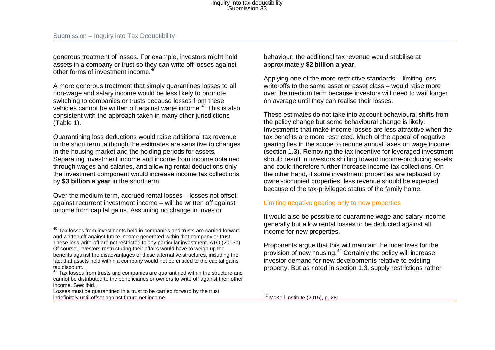generous treatment of losses. For example, investors might hold assets in a company or trust so they can write off losses against other forms of investment income  $40$ 

A more generous treatment that simply quarantines losses to all non-wage and salary income would be less likely to promote switching to companies or trusts because losses from these vehicles cannot be written off against wage income.<sup>[41](#page-17-1)</sup> This is also consistent with the approach taken in many other jurisdictions (Table 1).

Quarantining loss deductions would raise additional tax revenue in the short term, although the estimates are sensitive to changes in the housing market and the holding periods for assets. Separating investment income and income from income obtained through wages and salaries, and allowing rental deductions only the investment component would increase income tax collections by **\$3 billion a year** in the short term.

Over the medium term, accrued rental losses – losses not offset against recurrent investment income – will be written off against income from capital gains. Assuming no change in investor

 $\overline{\phantom{a}}$ 

<span id="page-17-2"></span><span id="page-17-1"></span><span id="page-17-0"></span>behaviour, the additional tax revenue would stabilise at approximately **\$2 billion a year**.

Applying one of the more restrictive standards – limiting loss write-offs to the same asset or asset class – would raise more over the medium term because investors will need to wait longer on average until they can realise their losses.

These estimates do not take into account behavioural shifts from the policy change but some behavioural change is likely. Investments that make income losses are less attractive when the tax benefits are more restricted. Much of the appeal of negative gearing lies in the scope to reduce annual taxes on wage income (section 1.3). Removing the tax incentive for leveraged investment should result in investors shifting toward income-producing assets and could therefore further increase income tax collections. On the other hand, if some investment properties are replaced by owner-occupied properties, less revenue should be expected because of the tax-privileged status of the family home.

#### Limiting negative gearing only to new properties

It would also be possible to quarantine wage and salary income generally but allow rental losses to be deducted against all income for new properties.

Proponents argue that this will maintain the incentives for the provision of new housing.[42](#page-17-2) Certainly the policy will increase investor demand for new developments relative to existing property. But as noted in section 1.3, supply restrictions rather

 $42$  McKell Institute (2015), p. 28.  $\overline{\phantom{a}}$ 

 $40$  Tax losses from investments held in companies and trusts are carried forward and written off against future income generated within that company or trust. These loss write-off are not restricted to any particular investment. ATO (2015b). Of course, investors restructuring their affairs would have to weigh up the benefits against the disadvantages of these alternative structures, including the fact that assets held within a company would not be entitled to the capital gains tax discount.

<sup>&</sup>lt;sup>41</sup> Tax losses from trusts and companies are quarantined within the structure and cannot be distributed to the beneficiaries or owners to write off against their other income. See: ibid..

Losses must be quarantined in a trust to be carried forward by the trust indefinitely until offset against future net income.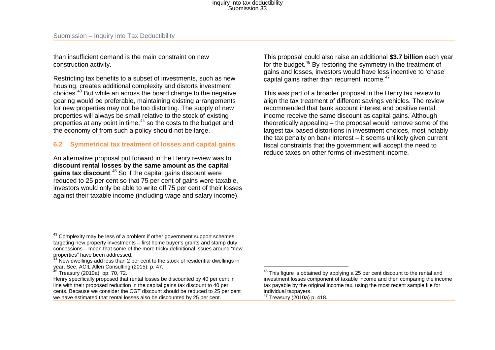than insufficient demand is the main constraint on new construction activity.

Restricting tax benefits to a subset of investments, such as new housing, creates additional complexity and distorts investment choices.[43](#page-18-0) But while an across the board change to the negative gearing would be preferable, maintaining existing arrangements for new properties may not be too distorting. The supply of new properties will always be small relative to the stock of existing properties at any point in time, [44](#page-18-1) so the costs to the budget and the economy of from such a policy should not be large.

#### **6.2 Symmetrical tax treatment of losses and capital gains**

An alternative proposal put forward in the Henry review was to **discount rental losses by the same amount as the capital gains tax discount**. [45](#page-18-2) So if the capital gains discount were reduced to 25 per cent so that 75 per cent of gains were taxable, investors would only be able to write off 75 per cent of their losses against their taxable income (including wage and salary income).

<span id="page-18-3"></span><span id="page-18-2"></span><span id="page-18-1"></span><span id="page-18-0"></span>This proposal could also raise an additional **\$3.7 billion** each year for the budget.<sup>[46](#page-18-2)</sup> By restoring the symmetry in the treatment of gains and losses, investors would have less incentive to 'chase' capital gains rather than recurrent income.<sup>[47](#page-18-3)</sup>

This was part of a broader proposal in the Henry tax review to align the tax treatment of different savings vehicles. The review recommended that bank account interest and positive rental income receive the same discount as capital gains. Although theoretically appealing – the proposal would remove some of the largest tax based distortions in investment choices, most notably the tax penalty on bank interest – it seems unlikely given current fiscal constraints that the government will accept the need to reduce taxes on other forms of investment income.

 $43$  Complexity may be less of a problem if other government support schemes targeting new property investments – first home buyer's grants and stamp duty concessions – mean that some of the more tricky definitional issues around "new properties" have been addressed.  $\overline{a}$ 

 $4$  New dwellings add less than 2 per cent to the stock of residential dwellings in year. See: ACIL Allen Consulting (2015), p. 47.<br><sup>45</sup> Treasury (2010a), pp. 70, 72.

Henry specifically proposed that rental losses be discounted by 40 per cent in line with their proposed reduction in the capital gains tax discount to 40 per cents. Because we consider the CGT discount should be reduced to 25 per cent we have estimated that rental losses also be discounted by 25 per cent.

 $46$  This figure is obtained by applying a 25 per cent discount to the rental and investment losses component of taxable income and then comparing the income tax payable by the original income tax, using the most recent sample file for individual taxpayers.  $47$  Treasury (2010a) p. 418.  $\overline{\phantom{a}}$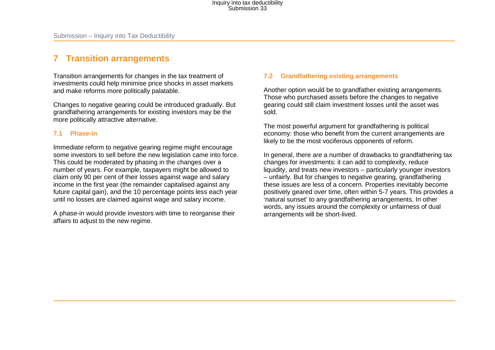### **7 Transition arrangements**

Transition arrangements for changes in the tax treatment of investments could help minimise price shocks in asset markets and make reforms more politically palatable.

Changes to negative gearing could be introduced gradually. But grandfathering arrangements for existing investors may be the more politically attractive alternative.

#### **7.1 Phase-in**

Immediate reform to negative gearing regime might encourage some investors to sell before the new legislation came into force. This could be moderated by phasing in the changes over a number of years. For example, taxpayers might be allowed to claim only 90 per cent of their losses against wage and salary income in the first year (the remainder capitalised against any future capital gain), and the 10 percentage points less each year until no losses are claimed against wage and salary income.

A phase-in would provide investors with time to reorganise their affairs to adjust to the new regime.

#### **7.2 Grandfathering existing arrangements**

Another option would be to grandfather existing arrangements. Those who purchased assets before the changes to negative gearing could still claim investment losses until the asset was sold.

The most powerful argument for grandfathering is political economy: those who benefit from the current arrangements are likely to be the most vociferous opponents of reform.

In general, there are a number of drawbacks to grandfathering tax changes for investments: it can add to complexity, reduce liquidity, and treats new investors – particularly younger investors – unfairly. But for changes to negative gearing, grandfathering these issues are less of a concern. Properties inevitably become positively geared over time, often within 5-7 years. This provides a 'natural sunset' to any grandfathering arrangements. In other words, any issues around the complexity or unfairness of dual arrangements will be short-lived.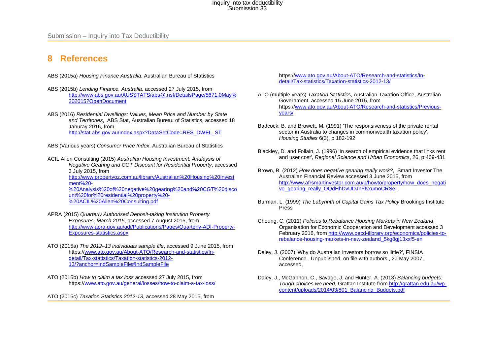### **8 References**

ABS (2015a) *Housing Finance Australia*, Australian Bureau of Statistics

- ABS (2015b) *Lending Finance, Australia*, accessed 27 July 2015, from [http://www.abs.gov.au/AUSSTATS/abs@.nsf/DetailsPage/5671.0May%](http://www.abs.gov.au/AUSSTATS/abs@.nsf/DetailsPage/5671.0May%202015?OpenDocument) [202015?OpenDocument](http://www.abs.gov.au/AUSSTATS/abs@.nsf/DetailsPage/5671.0May%202015?OpenDocument)
- ABS (2016) *Residential Dwellings: Values, Mean Price and Number by State and Territories*, ABS Stat, Australian Bureau of Statistics, accessed 18 Januray 2016, from [http://stat.abs.gov.au/Index.aspx?DataSetCode=RES\\_DWEL\\_ST](http://stat.abs.gov.au/Index.aspx?DataSetCode=RES_DWEL_ST)
- <span id="page-20-4"></span>ABS (Various years) *Consumer Price Index*, Australian Bureau of Statistics
- ACIL Allen Consulting (2015) *Australian Housing Investment: Analaysis of Negative Gearing and CGT Discount for Residential Property*, accessed 3 July 2015, from [http://www.propertyoz.com.au/library/Australian%20Housing%20Invest](http://www.propertyoz.com.au/library/Australian%20Housing%20Investment%20-%20Analysis%20of%20negative%20gearing%20and%20CGT%20discount%20for%20residential%20property%20-%20ACIL%20Allen%20Consulting.pdf) [ment%20-](http://www.propertyoz.com.au/library/Australian%20Housing%20Investment%20-%20Analysis%20of%20negative%20gearing%20and%20CGT%20discount%20for%20residential%20property%20-%20ACIL%20Allen%20Consulting.pdf) [%20Analysis%20of%20negative%20gearing%20and%20CGT%20disco](http://www.propertyoz.com.au/library/Australian%20Housing%20Investment%20-%20Analysis%20of%20negative%20gearing%20and%20CGT%20discount%20for%20residential%20property%20-%20ACIL%20Allen%20Consulting.pdf) [unt%20for%20residential%20property%20-](http://www.propertyoz.com.au/library/Australian%20Housing%20Investment%20-%20Analysis%20of%20negative%20gearing%20and%20CGT%20discount%20for%20residential%20property%20-%20ACIL%20Allen%20Consulting.pdf) [%20ACIL%20Allen%20Consulting.pdf](http://www.propertyoz.com.au/library/Australian%20Housing%20Investment%20-%20Analysis%20of%20negative%20gearing%20and%20CGT%20discount%20for%20residential%20property%20-%20ACIL%20Allen%20Consulting.pdf)
- APRA (2015) *Quarterly Authorised Deposit-taking Institution Property Exposures, March 2015*, accessed 7 August 2015, from [http://www.apra.gov.au/adi/Publications/Pages/Quarterly-ADI-Property-](http://www.apra.gov.au/adi/Publications/Pages/Quarterly-ADI-Property-Exposures-statistics.aspx)[Exposures-statistics.aspx](http://www.apra.gov.au/adi/Publications/Pages/Quarterly-ADI-Property-Exposures-statistics.aspx)
- <span id="page-20-3"></span>ATO (2015a) *The 2012–13 individuals sample file*, accessed 9 June 2015, from https:/[/www.ato.gov.au/About-ATO/Research-and-statistics/In](http://www.ato.gov.au/About-ATO/Research-and-statistics/In-detail/Tax-statistics/Taxation-statistics-2012-13/?anchor=IndSampleFile%23IndSampleFile)[detail/Tax-statistics/Taxation-statistics-2012-](http://www.ato.gov.au/About-ATO/Research-and-statistics/In-detail/Tax-statistics/Taxation-statistics-2012-13/?anchor=IndSampleFile%23IndSampleFile) [13/?anchor=IndSampleFile#IndSampleFile](http://www.ato.gov.au/About-ATO/Research-and-statistics/In-detail/Tax-statistics/Taxation-statistics-2012-13/?anchor=IndSampleFile%23IndSampleFile)
- ATO (2015b) *How to claim a tax loss* accessed 27 July 2015, from https:/[/www.ato.gov.au/general/losses/how-to-claim-a-tax-loss/](http://www.ato.gov.au/general/losses/how-to-claim-a-tax-loss/)

<span id="page-20-0"></span>ATO (2015c) *Taxation Statistics 2012-13*, accessed 28 May 2015, from

https:[//www.ato.gov.au/About-ATO/Research-and-statistics/In](http://www.ato.gov.au/About-ATO/Research-and-statistics/In-detail/Tax-statistics/Taxation-statistics-2012-13/)[detail/Tax-statistics/Taxation-statistics-2012-13/](http://www.ato.gov.au/About-ATO/Research-and-statistics/In-detail/Tax-statistics/Taxation-statistics-2012-13/)

- <span id="page-20-1"></span>ATO (multiple years) *Taxation Statistics*, Australian Taxation Office, Australian Government, accessed 15 June 2015, from https:[//www.ato.gov.au/About-ATO/Research-and-statistics/Previous](http://www.ato.gov.au/About-ATO/Research-and-statistics/Previous-years/)[years/](http://www.ato.gov.au/About-ATO/Research-and-statistics/Previous-years/)
- Badcock, B. and Browett, M. (1991) 'The responsiveness of the private rental sector in Australia to changes in commonwealth taxation policy', *Housing Studies* 6(3), p 182-192
- Blackley, D. and Follain, J. (1996) 'In search of empirical evidence that links rent and user cost', *Regional Science and Urban Economics*, 26, p 409-431
- Brown, B. (2012) *How does negative gearing really work?*, Smart Investor The Australian Financial Review accessed 3 June 2015, from [http://www.afrsmartinvestor.com.au/p/howto/property/how\\_does\\_negati](http://www.afrsmartinvestor.com.au/p/howto/property/how_does_negative_gearing_really_OQdHhDvUDJnFKxumoCRSeI) [ve\\_gearing\\_really\\_OQdHhDvUDJnFKxumoCRSeI](http://www.afrsmartinvestor.com.au/p/howto/property/how_does_negative_gearing_really_OQdHhDvUDJnFKxumoCRSeI)
- Burman, L. (1999) *The Labyrinth of Capital Gains Tax Policy* Brookings Institute Press
- <span id="page-20-2"></span>Cheung, C. (2011) *Policies to Rebalance Housing Markets in New Zealand*, Organisation for Economic Cooperation and Development accessed 3 February 2016, fro[m http://www.oecd-ilibrary.org/economics/policies-to](http://www.oecd-ilibrary.org/economics/policies-to-rebalance-housing-markets-in-new-zealand_5kg8gj13xxf5-en)[rebalance-housing-markets-in-new-zealand\\_5kg8gj13xxf5-en](http://www.oecd-ilibrary.org/economics/policies-to-rebalance-housing-markets-in-new-zealand_5kg8gj13xxf5-en)
- Daley, J. (2007) 'Why do Australian investors borrow so little?', FINSIA Conference. Unpublished, on file with authors., 20 May 2007, accessed,
- Daley, J., McGannon, C., Savage, J. and Hunter, A. (2013) *Balancing budgets: Tough choices we need*, Grattan Institute fro[m http://grattan.edu.au/wp](http://grattan.edu.au/wp-content/uploads/2014/03/801_Balancing_Budgets.pdf)[content/uploads/2014/03/801\\_Balancing\\_Budgets.pdf](http://grattan.edu.au/wp-content/uploads/2014/03/801_Balancing_Budgets.pdf)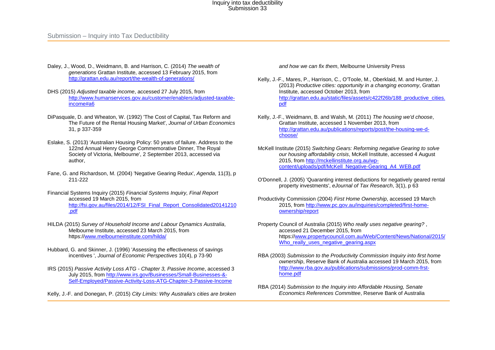Submission – Inquiry into Tax Deductibility

- Daley, J., Wood, D., Weidmann, B. and Harrison, C. (2014) *The wealth of generations* Grattan Institute, accessed 13 February 2015, from <http://grattan.edu.au/report/the-wealth-of-generations/>
- DHS (2015) *Adjusted taxable income*, accessed 27 July 2015, from [http://www.humanservices.gov.au/customer/enablers/adjusted-taxable](http://www.humanservices.gov.au/customer/enablers/adjusted-taxable-income%23a6)[income#a6](http://www.humanservices.gov.au/customer/enablers/adjusted-taxable-income%23a6)
- DiPasquale, D. and Wheaton, W. (1992) 'The Cost of Capital, Tax Reform and The Future of the Rental Housing Market', *Journal of Urban Economics*  31, p 337-359
- Eslake, S. (2013) 'Australian Housing Policy: 50 years of failure. Address to the 122nd Annual Henry George Commemorative Dinner, The Royal Society of Victoria, Melbourne', 2 September 2013, accessed via author,
- Fane, G. and Richardson, M. (2004) 'Negative Gearing Redux', *Agenda*, 11(3), p 211-222
- Financial Systems Inquiry (2015) *Financial Systems Inquiry, Final Report*  accessed 19 March 2015, from [http://fsi.gov.au/files/2014/12/FSI\\_Final\\_Report\\_Consolidated20141210](http://fsi.gov.au/files/2014/12/FSI_Final_Report_Consolidated20141210.pdf) [.pdf](http://fsi.gov.au/files/2014/12/FSI_Final_Report_Consolidated20141210.pdf)
- HILDA (2015) *Survey of Household Income and Labour Dynamics Australia*, Melbourne Institute, accessed 23 March 2015, from https:/[/www.melbourneinstitute.com/hilda/](http://www.melbourneinstitute.com/hilda/)
- Hubbard, G. and Skinner, J. (1996) 'Assessing the effectiveness of savings incentives ', *Journal of Economic Perspectives* 10(4), p 73-90
- IRS (2015) *Passive Activity Loss ATG - Chapter 3, Passive Income*, accessed 3 July 2015, from [http://www.irs.gov/Businesses/Small-Businesses-&-](http://www.irs.gov/Businesses/Small-Businesses-&-Self-Employed/Passive-Activity-Loss-ATG-Chapter-3-Passive-Income) [Self-Employed/Passive-Activity-Loss-ATG-Chapter-3-Passive-Income](http://www.irs.gov/Businesses/Small-Businesses-&-Self-Employed/Passive-Activity-Loss-ATG-Chapter-3-Passive-Income)

Kelly, J.-F. and Donegan, P. (2015) *City Limits: Why Australia's cities are broken* 

*and how we can fix them*, Melbourne University Press

- Kelly, J.-F., Mares, P., Harrison, C., O'Toole, M., Oberklaid, M. and Hunter, J. (2013) *Productive cities: opportunity in a changing economy*, Grattan Institute, accessed October 2013, from [http://grattan.edu.au/static/files/assets/c422f26b/188\\_productive\\_cities.](http://grattan.edu.au/static/files/assets/c422f26b/188_productive_cities.pdf) [pdf](http://grattan.edu.au/static/files/assets/c422f26b/188_productive_cities.pdf)
- Kelly, J.-F., Weidmann, B. and Walsh, M. (2011) *The housing we'd choose*, Grattan Institute, accessed 1 November 2013, from [http://grattan.edu.au/publications/reports/post/the-housing-we-d](http://grattan.edu.au/publications/reports/post/the-housing-we-d-choose/)[choose/](http://grattan.edu.au/publications/reports/post/the-housing-we-d-choose/)
- McKell Institute (2015) *Switching Gears: Reforming negative Gearing to solve our housing affordability crisis*, McKell Institute, accessed 4 August 2015, from [http://mckellinstitute.org.au/wp](http://mckellinstitute.org.au/wp-content/uploads/pdf/McKell_Negative-Gearing_A4_WEB.pdf)[content/uploads/pdf/McKell\\_Negative-Gearing\\_A4\\_WEB.pdf](http://mckellinstitute.org.au/wp-content/uploads/pdf/McKell_Negative-Gearing_A4_WEB.pdf)
- <span id="page-21-0"></span>O'Donnell, J. (2005) 'Quaranting interest deductions for negatively geared rental property investments', *eJournal of Tax Research*, 3(1), p 63
- <span id="page-21-1"></span>Productivity Commission (2004) *First Home Ownership*, accessed 19 March 2015, from [http://www.pc.gov.au/inquiries/completed/first-home](http://www.pc.gov.au/inquiries/completed/first-home-ownership/report)[ownership/report](http://www.pc.gov.au/inquiries/completed/first-home-ownership/report)
- Property Council of Australia (2015) *Who really uses negative gearing?* , accessed 21 December 2015, from https:[//www.propertycouncil.com.au/Web/Content/News/National/2015/](http://www.propertycouncil.com.au/Web/Content/News/National/2015/Who_really_uses_negative_gearing.aspx) Who really uses negative gearing.aspx
- <span id="page-21-2"></span>RBA (2003) *Submission to the Productivity Commission Inquiry into first home ownership*, Reserve Bank of Australia accessed 19 March 2015, from [http://www.rba.gov.au/publications/submissions/prod-comm-frst](http://www.rba.gov.au/publications/submissions/prod-comm-frst-home.pdf)[home.pdf](http://www.rba.gov.au/publications/submissions/prod-comm-frst-home.pdf)
- RBA (2014) *Submission to the Inquiry into Affordable Housing, Senate Economics References Committee*, Reserve Bank of Australia